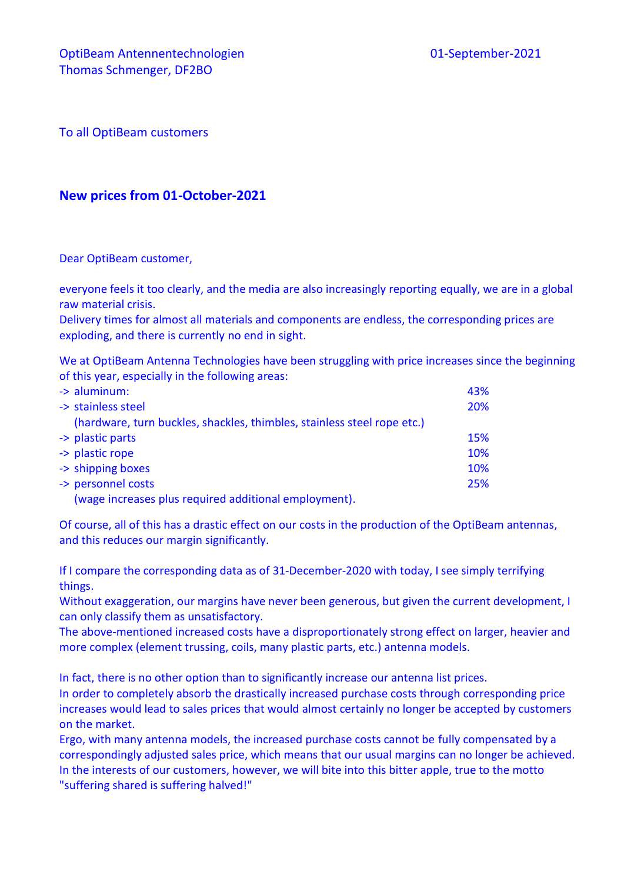To all OptiBeam customers

## **New prices from 01-October-2021**

Dear OptiBeam customer,

everyone feels it too clearly, and the media are also increasingly reporting equally, we are in a global raw material crisis.

Delivery times for almost all materials and components are endless, the corresponding prices are exploding, and there is currently no end in sight.

We at OptiBeam Antenna Technologies have been struggling with price increases since the beginning of this year, especially in the following areas:

| $\rightarrow$ aluminum:                                                 | 43% |
|-------------------------------------------------------------------------|-----|
| -> stainless steel                                                      | 20% |
| (hardware, turn buckles, shackles, thimbles, stainless steel rope etc.) |     |
| -> plastic parts                                                        | 15% |
| -> plastic rope                                                         | 10% |
| -> shipping boxes                                                       | 10% |
| -> personnel costs                                                      | 25% |
| (wage increases plus required additional employment).                   |     |

Of course, all of this has a drastic effect on our costs in the production of the OptiBeam antennas, and this reduces our margin significantly.

If I compare the corresponding data as of 31-December-2020 with today, I see simply terrifying things.

Without exaggeration, our margins have never been generous, but given the current development, I can only classify them as unsatisfactory.

The above-mentioned increased costs have a disproportionately strong effect on larger, heavier and more complex (element trussing, coils, many plastic parts, etc.) antenna models.

In fact, there is no other option than to significantly increase our antenna list prices.

In order to completely absorb the drastically increased purchase costs through corresponding price increases would lead to sales prices that would almost certainly no longer be accepted by customers on the market.

Ergo, with many antenna models, the increased purchase costs cannot be fully compensated by a correspondingly adjusted sales price, which means that our usual margins can no longer be achieved. In the interests of our customers, however, we will bite into this bitter apple, true to the motto "suffering shared is suffering halved!"